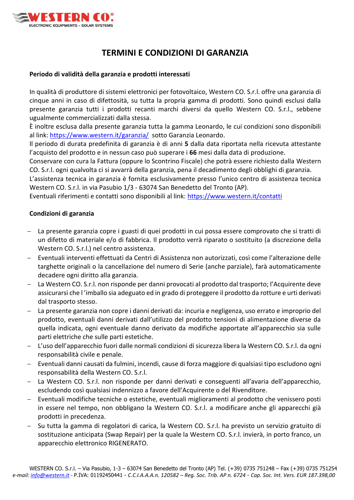

## **TERMINI E CONDIZIONI DI GARANZIA**

### **Periodo di validità della garanzia e prodotti interessati**

In qualità di produttore di sistemi elettronici per fotovoltaico, Western CO. S.r.l. offre una garanzia di cinque anni in caso di difettosità, su tutta la propria gamma di prodotti. Sono quindi esclusi dalla presente garanzia tutti i prodotti recanti marchi diversi da quello Western CO. S.r.l., sebbene ugualmente commercializzati dalla stessa.

È inoltre esclusa dalla presente garanzia tutta la gamma Leonardo, le cui condizioni sono disponibili al link: [https://www.western.it/garanzia/](https://www.western.it/garanzia/G) sotto Garanzia Leonardo.

Il periodo di durata predefinita di garanzia è di anni **5** dalla data riportata nella ricevuta attestante l'acquisto del prodotto e in nessun caso può superare i **66** mesi dalla data di produzione.

Conservare con cura la Fattura (oppure lo Scontrino Fiscale) che potrà essere richiesto dalla Western CO. S.r.l. ogni qualvolta ci si avvarrà della garanzia, pena il decadimento degli obblighi di garanzia.

L'assistenza tecnica in garanzia è fornita esclusivamente presso l'unico centro di assistenza tecnica Western CO. S.r.l. in via Pasubio 1/3 - 63074 San Benedetto del Tronto (AP).

Eventuali riferimenti e contatti sono disponibili al link:<https://www.western.it/contatti>

### **Condizioni di garanzia**

- − La presente garanzia copre i guasti di quei prodotti in cui possa essere comprovato che si tratti di un difetto di materiale e/o di fabbrica. Il prodotto verrà riparato o sostituito (a discrezione della Western CO. S.r.l.) nel centro assistenza.
- − Eventuali interventi effettuati da Centri di Assistenza non autorizzati, così come l'alterazione delle targhette originali o la cancellazione del numero di Serie (anche parziale), farà automaticamente decadere ogni diritto alla garanzia.
- − La Western CO. S.r.l. non risponde per danni provocati al prodotto dal trasporto; l'Acquirente deve assicurarsi che l 'imballo sia adeguato ed in grado di proteggere il prodotto da rotture e urti derivati dal trasporto stesso.
- − La presente garanzia non copre i danni derivati da: incuria e negligenza, uso errato e improprio del prodotto, eventuali danni derivati dall'utilizzo del prodotto tensioni di alimentazione diverse da quella indicata, ogni eventuale danno derivato da modifiche apportate all'apparecchio sia sulle parti elettriche che sulle parti estetiche.
- − L'uso dell'apparecchio fuori dalle normali condizioni di sicurezza libera la Western CO. S.r.l. da ogni responsabilità civile e penale.
- − Eventuali danni causati da fulmini, incendi, cause di forza maggiore di qualsiasi tipo escludono ogni responsabilità della Western CO. S.r.l.
- − La Western CO. S.r.l. non risponde per danni derivati e conseguenti all'avaria dell'apparecchio, escludendo così qualsiasi indennizzo a favore dell'Acquirente o del Rivenditore.
- − Eventuali modifiche tecniche o estetiche, eventuali miglioramenti al prodotto che venissero posti in essere nel tempo, non obbligano la Western CO. S.r.l. a modificare anche gli apparecchi già prodotti in precedenza.
- − Su tutta la gamma di regolatori di carica, la Western CO. S.r.l. ha previsto un servizio gratuito di sostituzione anticipata (Swap Repair) per la quale la Western CO. S.r.l. invierà, in porto franco, un apparecchio elettronico RIGENERATO.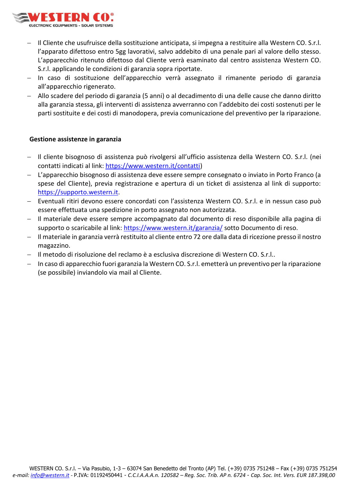

- − Il Cliente che usufruisce della sostituzione anticipata, si impegna a restituire alla Western CO. S.r.l. l'apparato difettoso entro 5gg lavorativi, salvo addebito di una penale pari al valore dello stesso. L'apparecchio ritenuto difettoso dal Cliente verrà esaminato dal centro assistenza Western CO. S.r.l. applicando le condizioni di garanzia sopra riportate.
- − In caso di sostituzione dell'apparecchio verrà assegnato il rimanente periodo di garanzia all'apparecchio rigenerato.
- − Allo scadere del periodo di garanzia (5 anni) o al decadimento di una delle cause che danno diritto alla garanzia stessa, gli interventi di assistenza avverranno con l'addebito dei costi sostenuti per le parti sostituite e dei costi di manodopera, previa comunicazione del preventivo per la riparazione.

### **Gestione assistenze in garanzia**

- − Il cliente bisognoso di assistenza può rivolgersi all'ufficio assistenza della Western CO. S.r.l. (nei contatti indicati al link: [https://www.western.it/contatti\)](https://www.western.it/contatti)
- L'apparecchio bisognoso di assistenza deve essere sempre consegnato o inviato in Porto Franco (a spese del Cliente), previa registrazione e apertura di un ticket di assistenza al link di supporto: [https://supporto.western.it.](https://supporto.western.it/)
- − Eventuali ritiri devono essere concordati con l'assistenza Western CO. S.r.l. e in nessun caso può essere effettuata una spedizione in porto assegnato non autorizzata.
- − Il materiale deve essere sempre accompagnato dal documento di reso disponibile alla pagina di supporto o scaricabile al link:<https://www.western.it/garanzia/>sotto Documento di reso.
- − Il materiale in garanzia verrà restituito al cliente entro 72 ore dalla data di ricezione presso il nostro magazzino.
- − Il metodo di risoluzione del reclamo è a esclusiva discrezione di Western CO. S.r.l..
- − In caso di apparecchio fuori garanzia la Western CO. S.r.l. emetterà un preventivo per la riparazione (se possibile) inviandolo via mail al Cliente.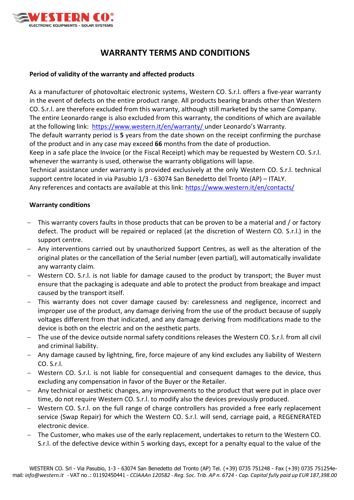

# **WARRANTY TERMS AND CONDITIONS**

### **Period of validity of the warranty and affected products**

As a manufacturer of photovoltaic electronic systems, Western CO. S.r.l. offers a five-year warranty in the event of defects on the entire product range. All products bearing brands other than Western CO. S.r.l. are therefore excluded from this warranty, although still marketed by the same Company. The entire Leonardo range is also excluded from this warranty, the conditions of which are available at the following link: <https://www.western.it/en/warranty/>under Leonardo's Warranty. The default warranty period is **5** years from the date shown on the receipt confirming the purchase of the product and in any case may exceed **66** months from the date of production.

Keep in a safe place the Invoice (or the Fiscal Receipt) which may be requested by Western CO. S.r.l. whenever the warranty is used, otherwise the warranty obligations will lapse.

Technical assistance under warranty is provided exclusively at the only Western CO. S.r.l. technical support centre located in via Pasubio 1/3 - 63074 San Benedetto del Tronto (AP) – ITALY.

Any references and contacts are available at this link: <https://www.western.it/en/contacts/>

### **Warranty conditions**

- This warranty covers faults in those products that can be proven to be a material and / or factory defect. The product will be repaired or replaced (at the discretion of Western CO. S.r.l.) in the support centre.
- − Any interventions carried out by unauthorized Support Centres, as well as the alteration of the original plates or the cancellation of the Serial number (even partial), will automatically invalidate any warranty claim.
- − Western CO. S.r.l. is not liable for damage caused to the product by transport; the Buyer must ensure that the packaging is adequate and able to protect the product from breakage and impact caused by the transport itself.
- − This warranty does not cover damage caused by: carelessness and negligence, incorrect and improper use of the product, any damage deriving from the use of the product because of supply voltages different from that indicated, and any damage deriving from modifications made to the device is both on the electric and on the aesthetic parts.
- The use of the device outside normal safety conditions releases the Western CO. S.r.l. from all civil and criminal liability.
- − Any damage caused by lightning, fire, force majeure of any kind excludes any liability of Western CO. S.r.l.
- − Western CO. S.r.l. is not liable for consequential and consequent damages to the device, thus excluding any compensation in favor of the Buyer or the Retailer.
- − Any technical or aesthetic changes, any improvements to the product that were put in place over time, do not require Western CO. S.r.l. to modify also the devices previously produced.
- Western CO. S.r.l. on the full range of charge controllers has provided a free early replacement service (Swap Repair) for which the Western CO. S.r.l. will send, carriage paid, a REGENERATED electronic device.
- The Customer, who makes use of the early replacement, undertakes to return to the Western CO. S.r.l. of the defective device within 5 working days, except for a penalty equal to the value of the